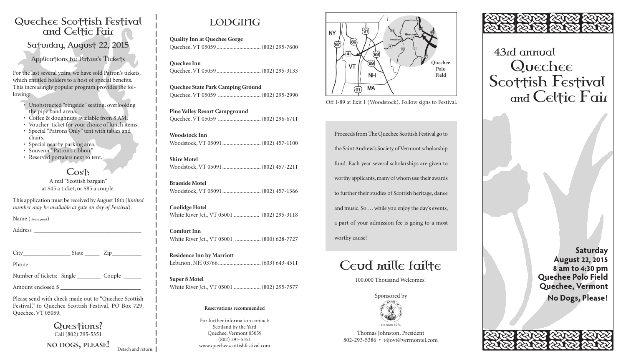### Quechee Scottish Festival and Celtic Fair

Saturday, August 22, 2015

Applications for Patron's Tickets

For the last several years, we have sold Patron's tickets, which entitled holders to a host of special benefits. This increasingly popular program provides the following:

• Unobstructed "ringside" seating, overlooking the pipe band arena.

- Coffee & doughnuts available from 8 AM.
- Voucher ticket for your choice of lunch items. • Special "Patrons Only" tent with tables and
- chairs.
- Special nearby parking area.
- Souvenir "Patron's ribbon." • Reserved portalets next to tent.
- 

Cost: A real "Scottish bargain" at \$45 a ticket, or \$85 a couple.

This application must be received byAugust 16th (*limited number may be available at gate on day of Festival*).

Name (please print) \_\_\_\_\_\_\_\_\_\_\_\_\_\_\_\_\_\_\_\_\_\_\_\_\_\_\_\_\_\_

Address \_\_\_\_\_\_\_\_\_\_\_\_\_\_\_\_\_\_\_\_\_\_\_\_\_\_\_\_\_\_\_\_\_\_\_\_

| $City_$ | <b>State</b> | Zip |
|---------|--------------|-----|
| Phone   |              |     |

\_\_\_\_\_\_\_\_\_\_\_\_\_\_\_\_\_\_\_\_\_\_\_\_\_\_\_\_\_\_\_\_\_\_\_\_\_\_\_\_\_\_\_

Number of tickets: Single \_\_\_\_\_\_\_\_\_ Couple \_\_\_\_\_\_

Amount enclosed \$

Please send with check made out to "Quechee Scottish Festival," to Quechee Scottish Festival, PO Box 729, Quechee,VT 05059.

> Questions? Call (802) 295-5351

**NO DOGS, PLEASE!** Detach and return.

## LODGING

**Quality Inn at Quechee Gorge** Quechee,VT 05059...............................(802) 295-7600

**Quechee Inn** Quechee,VT 05059...............................(802) 295-3133

**Quechee State Park Camping Ground** Quechee,VT 05059 ..............................(802) 295-2990

**Pine Valley Resort Campground** Quechee,VT 05059 ..............................(802) 296-6711

**Woodstock Inn** Woodstock,VT 05091...........................(802) 457-1100

**Shire Motel** Woodstock,VT 05091...........................(802) 457-2211

**Braeside Motel** Woodstock,VT 05091...........................(802) 457-1366

**Coolidge Hotel** White River Jct.,VT 05001 .................. (802) 295-3118

**Comfort Inn** White River Jct.,VT 05001 ..................(800) 628-7727

**Residence Inn by Marriott** Lebanon, NH 03766..............................(603) 643-4511

**Super 8 Motel** White River Jct.,VT 05001 ...................(802) 295-7577

#### **Reservations recommended**

For further information contact: Scotland by the Yard Quechee, Vermont 05059 (802) 295-5351 www.quecheescottishfestival.com



Off I-89 at Exit 1 (Woodstock). Follow signs to Festival.

Proceeds from The Quechee Scottish Festival go to the Saint Andrew's Society of Vermont scholarship fund. Each year several scholarships are given to worthy applicants, many of whom use their awards to further their studies of Scottish heritage, dance and music. So . . .while you enjoy the day's events, a part of your admission fee is going to a most worthy cause!

# Ceud mille failte

100,000 Thousand Welcomes!



Thomas Johnston, President 802-293-5386 • t4jovt@vermontel.com



43rd annual Quechee Scottish Festival and Celtic Fair

> **Saturday August 22, 2015 8 am to 4:30 pm Quechee Polo Field Quechee, Vermont No Dogs, Please!**